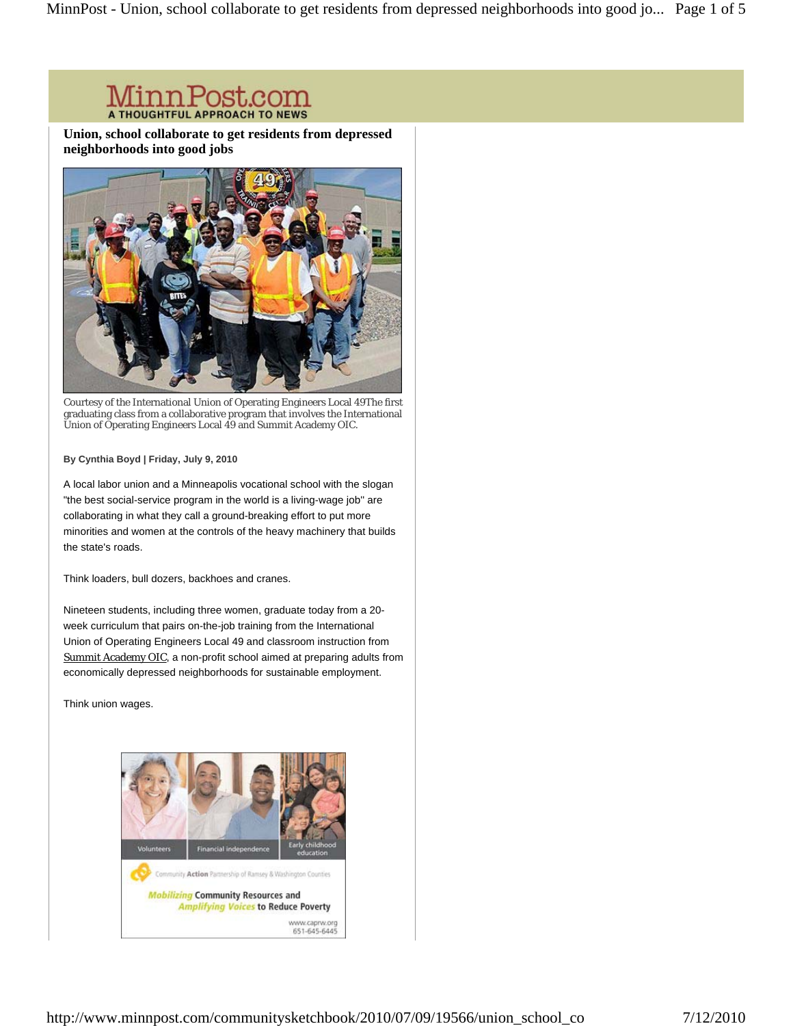# **MinnPost.com**

**Union, school collaborate to get residents from depressed neighborhoods into good jobs** 



Courtesy of the International Union of Operating Engineers Local 49The first graduating class from a collaborative program that involves the International Union of Operating Engineers Local 49 and Summit Academy OIC.

#### **By Cynthia Boyd | Friday, July 9, 2010**

A local labor union and a Minneapolis vocational school with the slogan "the best social-service program in the world is a living-wage job'' are collaborating in what they call a ground-breaking effort to put more minorities and women at the controls of the heavy machinery that builds the state's roads.

Think loaders, bull dozers, backhoes and cranes.

Nineteen students, including three women, graduate today from a 20 week curriculum that pairs on-the-job training from the International Union of Operating Engineers Local 49 and classroom instruction from Summit Academy OIC, a non-profit school aimed at preparing adults from economically depressed neighborhoods for sustainable employment.

Think union wages.

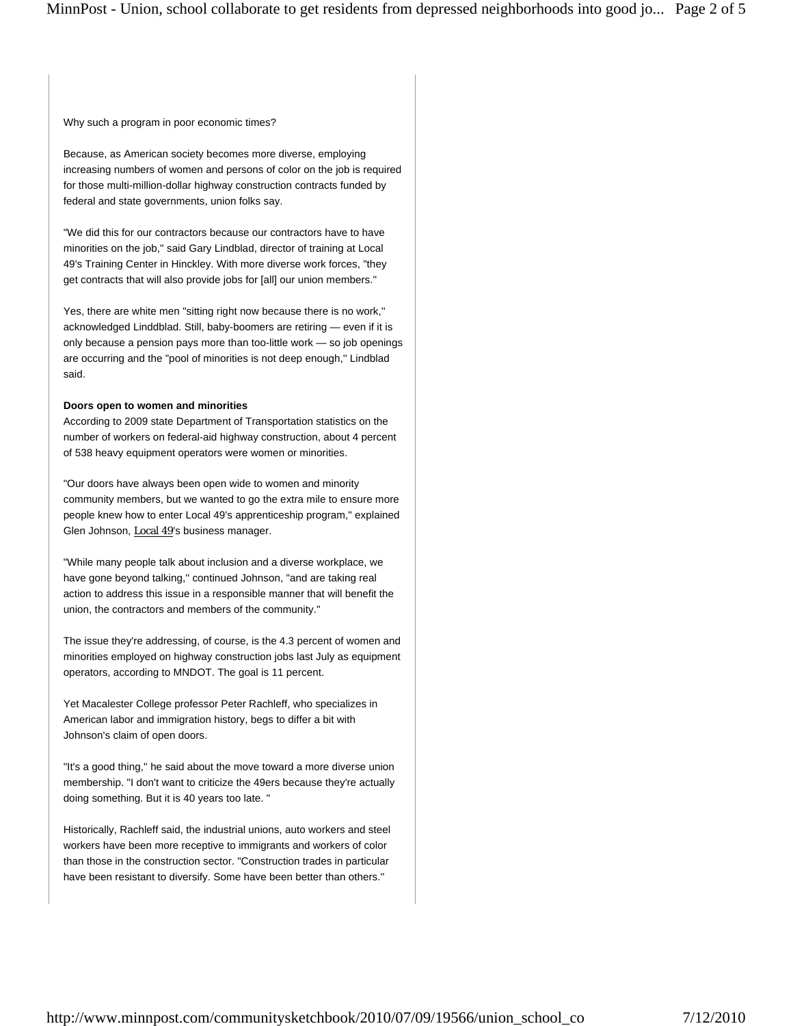Why such a program in poor economic times?

Because, as American society becomes more diverse, employing increasing numbers of women and persons of color on the job is required for those multi-million-dollar highway construction contracts funded by federal and state governments, union folks say.

"We did this for our contractors because our contractors have to have minorities on the job,'' said Gary Lindblad, director of training at Local 49's Training Center in Hinckley. With more diverse work forces, "they get contracts that will also provide jobs for [all] our union members.''

Yes, there are white men "sitting right now because there is no work,'' acknowledged Linddblad. Still, baby-boomers are retiring — even if it is only because a pension pays more than too-little work — so job openings are occurring and the "pool of minorities is not deep enough,'' Lindblad said.

#### **Doors open to women and minorities**

According to 2009 state Department of Transportation statistics on the number of workers on federal-aid highway construction, about 4 percent of 538 heavy equipment operators were women or minorities.

"Our doors have always been open wide to women and minority community members, but we wanted to go the extra mile to ensure more people knew how to enter Local 49's apprenticeship program," explained Glen Johnson, Local 49's business manager.

"While many people talk about inclusion and a diverse workplace, we have gone beyond talking," continued Johnson, "and are taking real action to address this issue in a responsible manner that will benefit the union, the contractors and members of the community.''

The issue they're addressing, of course, is the 4.3 percent of women and minorities employed on highway construction jobs last July as equipment operators, according to MNDOT. The goal is 11 percent.

Yet Macalester College professor Peter Rachleff, who specializes in American labor and immigration history, begs to differ a bit with Johnson's claim of open doors.

"It's a good thing,'' he said about the move toward a more diverse union membership. "I don't want to criticize the 49ers because they're actually doing something. But it is 40 years too late. "

Historically, Rachleff said, the industrial unions, auto workers and steel workers have been more receptive to immigrants and workers of color than those in the construction sector. "Construction trades in particular have been resistant to diversify. Some have been better than others.''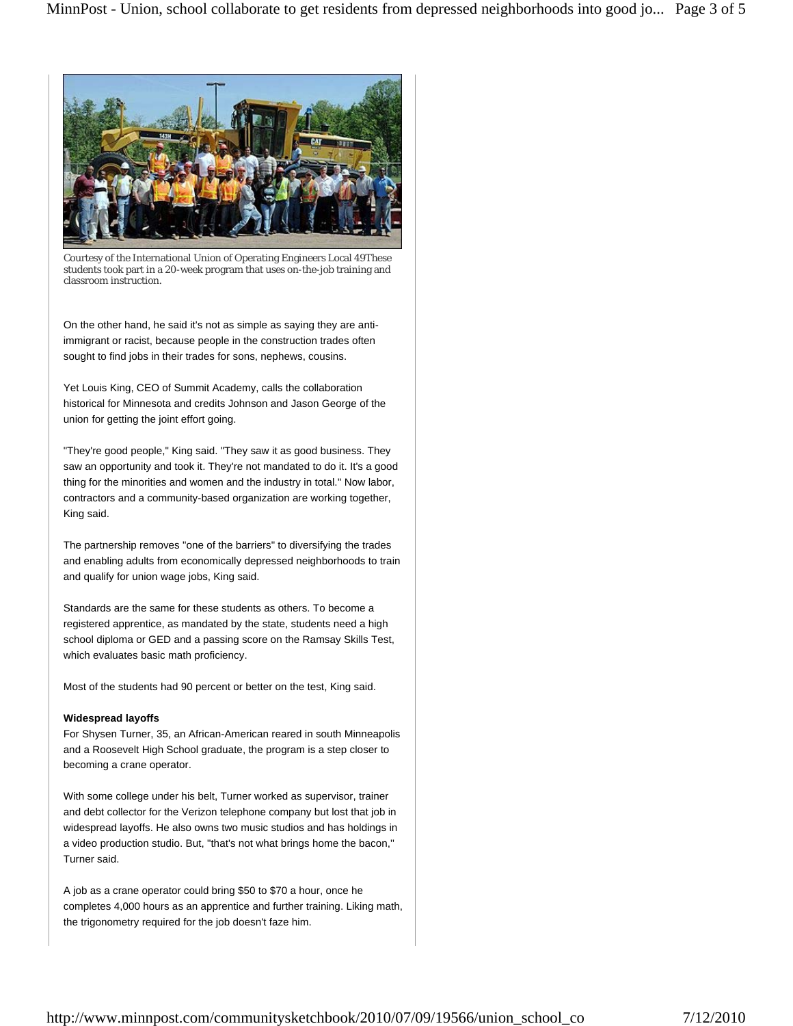

Courtesy of the International Union of Operating Engineers Local 49These students took part in a 20-week program that uses on-the-job training and classroom instruction.

On the other hand, he said it's not as simple as saying they are antiimmigrant or racist, because people in the construction trades often sought to find jobs in their trades for sons, nephews, cousins.

Yet Louis King, CEO of Summit Academy, calls the collaboration historical for Minnesota and credits Johnson and Jason George of the union for getting the joint effort going.

"They're good people," King said. "They saw it as good business. They saw an opportunity and took it. They're not mandated to do it. It's a good thing for the minorities and women and the industry in total.'' Now labor, contractors and a community-based organization are working together, King said.

The partnership removes "one of the barriers" to diversifying the trades and enabling adults from economically depressed neighborhoods to train and qualify for union wage jobs, King said.

Standards are the same for these students as others. To become a registered apprentice, as mandated by the state, students need a high school diploma or GED and a passing score on the Ramsay Skills Test, which evaluates basic math proficiency.

Most of the students had 90 percent or better on the test, King said.

### **Widespread layoffs**

For Shysen Turner, 35, an African-American reared in south Minneapolis and a Roosevelt High School graduate, the program is a step closer to becoming a crane operator.

With some college under his belt, Turner worked as supervisor, trainer and debt collector for the Verizon telephone company but lost that job in widespread layoffs. He also owns two music studios and has holdings in a video production studio. But, "that's not what brings home the bacon,'' Turner said.

A job as a crane operator could bring \$50 to \$70 a hour, once he completes 4,000 hours as an apprentice and further training. Liking math, the trigonometry required for the job doesn't faze him.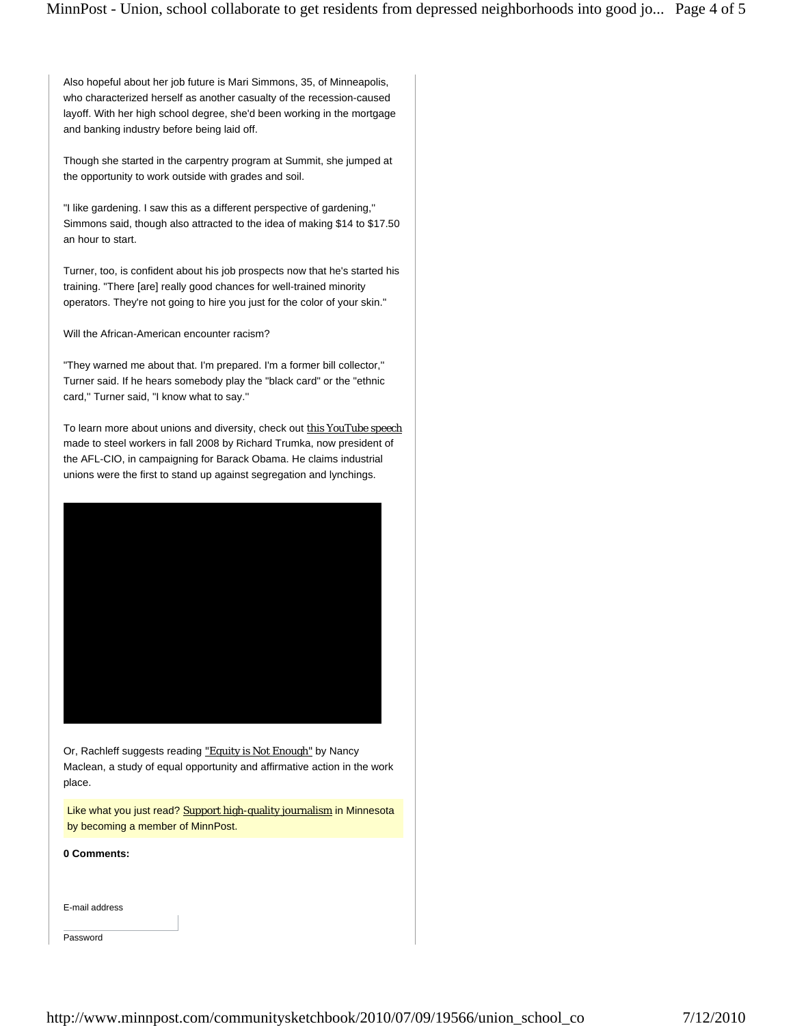Also hopeful about her job future is Mari Simmons, 35, of Minneapolis, who characterized herself as another casualty of the recession-caused layoff. With her high school degree, she'd been working in the mortgage and banking industry before being laid off.

Though she started in the carpentry program at Summit, she jumped at the opportunity to work outside with grades and soil.

"I like gardening. I saw this as a different perspective of gardening,'' Simmons said, though also attracted to the idea of making \$14 to \$17.50 an hour to start.

Turner, too, is confident about his job prospects now that he's started his training. "There [are] really good chances for well-trained minority operators. They're not going to hire you just for the color of your skin.''

Will the African-American encounter racism?

"They warned me about that. I'm prepared. I'm a former bill collector,'' Turner said. If he hears somebody play the "black card" or the "ethnic card,'' Turner said, "I know what to say.''

To learn more about unions and diversity, check out this YouTube speech made to steel workers in fall 2008 by Richard Trumka, now president of the AFL-CIO, in campaigning for Barack Obama. He claims industrial unions were the first to stand up against segregation and lynchings.



Or, Rachleff suggests reading "Equity is Not Enough" by Nancy Maclean, a study of equal opportunity and affirmative action in the work place.

Like what you just read? Support high-quality journalism in Minnesota by becoming a member of MinnPost.

**0 Comments:** 

E-mail address

Password